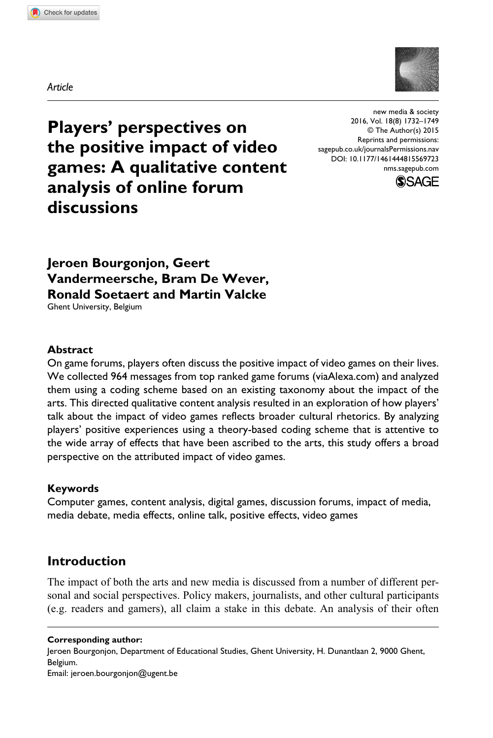*Article*

**5697[23](http://crossmark.crossref.org/dialog/?doi=10.1177%2F1461444815569723&domain=pdf&date_stamp=2015-02-01)** NMS0010.1177/1461444815569723new media & society**Bourgonjon et al.**



**Players' perspectives on the positive impact of video games: A qualitative content analysis of online forum discussions**

new media & society 2016, Vol. 18(8) 1732–1749 © The Author(s) 2015 Reprints and permissions: sagepub.co.uk/journalsPermissions.nav DOI: 10.1177/1461444815569723 nms.sagepub.com



**Jeroen Bourgonjon, Geert Vandermeersche, Bram De Wever, Ronald Soetaert and Martin Valcke**

Ghent University, Belgium

#### **Abstract**

On game forums, players often discuss the positive impact of video games on their lives. We collected 964 messages from top ranked game forums (viaAlexa.com) and analyzed them using a coding scheme based on an existing taxonomy about the impact of the arts. This directed qualitative content analysis resulted in an exploration of how players' talk about the impact of video games reflects broader cultural rhetorics. By analyzing players' positive experiences using a theory-based coding scheme that is attentive to the wide array of effects that have been ascribed to the arts, this study offers a broad perspective on the attributed impact of video games.

### **Keywords**

Computer games, content analysis, digital games, discussion forums, impact of media, media debate, media effects, online talk, positive effects, video games

### **Introduction**

The impact of both the arts and new media is discussed from a number of different personal and social perspectives. Policy makers, journalists, and other cultural participants (e.g. readers and gamers), all claim a stake in this debate. An analysis of their often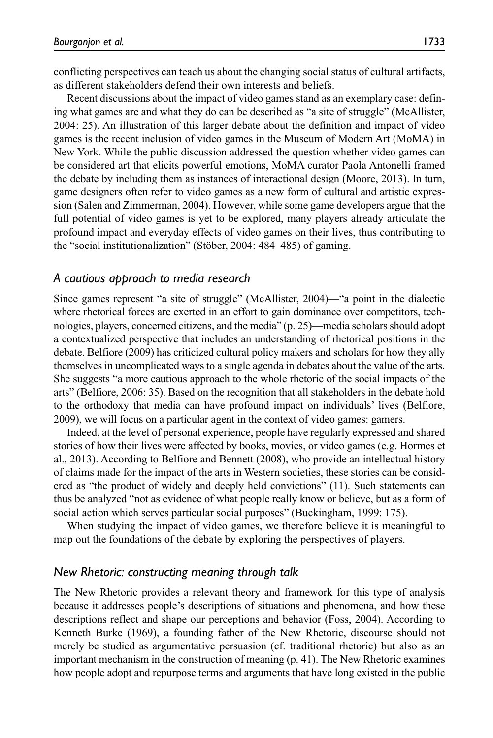conflicting perspectives can teach us about the changing social status of cultural artifacts, as different stakeholders defend their own interests and beliefs.

Recent discussions about the impact of video games stand as an exemplary case: defining what games are and what they do can be described as "a site of struggle" (McAllister, 2004: 25). An illustration of this larger debate about the definition and impact of video games is the recent inclusion of video games in the Museum of Modern Art (MoMA) in New York. While the public discussion addressed the question whether video games can be considered art that elicits powerful emotions, MoMA curator Paola Antonelli framed the debate by including them as instances of interactional design (Moore, 2013). In turn, game designers often refer to video games as a new form of cultural and artistic expression (Salen and Zimmerman, 2004). However, while some game developers argue that the full potential of video games is yet to be explored, many players already articulate the profound impact and everyday effects of video games on their lives, thus contributing to the "social institutionalization" (Stöber, 2004: 484–485) of gaming.

#### *A cautious approach to media research*

Since games represent "a site of struggle" (McAllister, 2004)—"a point in the dialectic where rhetorical forces are exerted in an effort to gain dominance over competitors, technologies, players, concerned citizens, and the media" (p. 25)—media scholars should adopt a contextualized perspective that includes an understanding of rhetorical positions in the debate. Belfiore (2009) has criticized cultural policy makers and scholars for how they ally themselves in uncomplicated ways to a single agenda in debates about the value of the arts. She suggests "a more cautious approach to the whole rhetoric of the social impacts of the arts" (Belfiore, 2006: 35). Based on the recognition that all stakeholders in the debate hold to the orthodoxy that media can have profound impact on individuals' lives (Belfiore, 2009), we will focus on a particular agent in the context of video games: gamers.

Indeed, at the level of personal experience, people have regularly expressed and shared stories of how their lives were affected by books, movies, or video games (e.g. Hormes et al., 2013). According to Belfiore and Bennett (2008), who provide an intellectual history of claims made for the impact of the arts in Western societies, these stories can be considered as "the product of widely and deeply held convictions" (11). Such statements can thus be analyzed "not as evidence of what people really know or believe, but as a form of social action which serves particular social purposes" (Buckingham, 1999: 175).

When studying the impact of video games, we therefore believe it is meaningful to map out the foundations of the debate by exploring the perspectives of players.

#### *New Rhetoric: constructing meaning through talk*

The New Rhetoric provides a relevant theory and framework for this type of analysis because it addresses people's descriptions of situations and phenomena, and how these descriptions reflect and shape our perceptions and behavior (Foss, 2004). According to Kenneth Burke (1969), a founding father of the New Rhetoric, discourse should not merely be studied as argumentative persuasion (cf. traditional rhetoric) but also as an important mechanism in the construction of meaning (p. 41). The New Rhetoric examines how people adopt and repurpose terms and arguments that have long existed in the public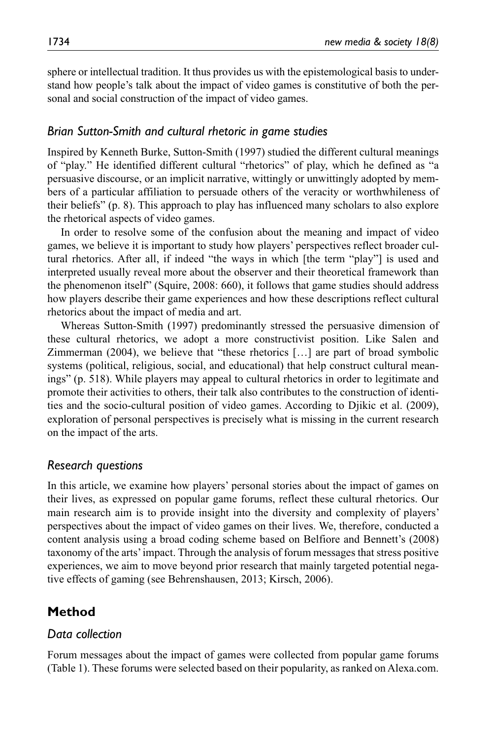sphere or intellectual tradition. It thus provides us with the epistemological basis to understand how people's talk about the impact of video games is constitutive of both the personal and social construction of the impact of video games.

### *Brian Sutton-Smith and cultural rhetoric in game studies*

Inspired by Kenneth Burke, Sutton-Smith (1997) studied the different cultural meanings of "play." He identified different cultural "rhetorics" of play, which he defined as "a persuasive discourse, or an implicit narrative, wittingly or unwittingly adopted by members of a particular affiliation to persuade others of the veracity or worthwhileness of their beliefs" (p. 8). This approach to play has influenced many scholars to also explore the rhetorical aspects of video games.

In order to resolve some of the confusion about the meaning and impact of video games, we believe it is important to study how players' perspectives reflect broader cultural rhetorics. After all, if indeed "the ways in which [the term "play"] is used and interpreted usually reveal more about the observer and their theoretical framework than the phenomenon itself" (Squire, 2008: 660), it follows that game studies should address how players describe their game experiences and how these descriptions reflect cultural rhetorics about the impact of media and art.

Whereas Sutton-Smith (1997) predominantly stressed the persuasive dimension of these cultural rhetorics, we adopt a more constructivist position. Like Salen and Zimmerman (2004), we believe that "these rhetorics […] are part of broad symbolic systems (political, religious, social, and educational) that help construct cultural meanings" (p. 518). While players may appeal to cultural rhetorics in order to legitimate and promote their activities to others, their talk also contributes to the construction of identities and the socio-cultural position of video games. According to Djikic et al. (2009), exploration of personal perspectives is precisely what is missing in the current research on the impact of the arts.

### *Research questions*

In this article, we examine how players' personal stories about the impact of games on their lives, as expressed on popular game forums, reflect these cultural rhetorics. Our main research aim is to provide insight into the diversity and complexity of players' perspectives about the impact of video games on their lives. We, therefore, conducted a content analysis using a broad coding scheme based on Belfiore and Bennett's (2008) taxonomy of the arts' impact. Through the analysis of forum messages that stress positive experiences, we aim to move beyond prior research that mainly targeted potential negative effects of gaming (see Behrenshausen, 2013; Kirsch, 2006).

# **Method**

### *Data collection*

Forum messages about the impact of games were collected from popular game forums (Table 1). These forums were selected based on their popularity, as ranked on Alexa.com.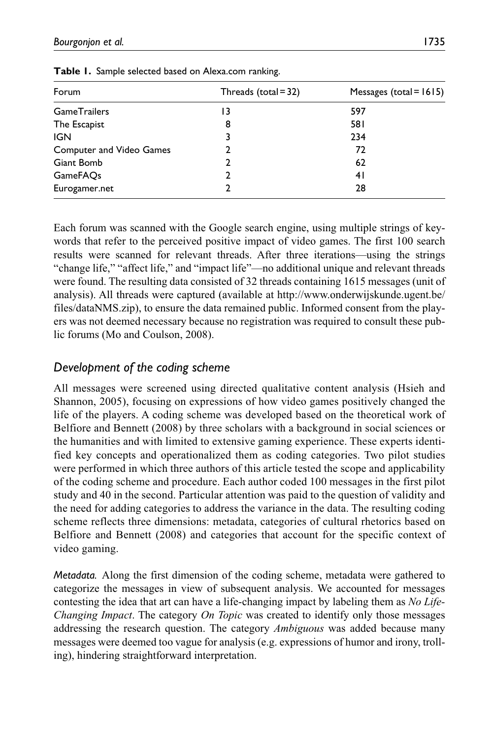| Forum                           | Threads (total $=$ 32) | Messages (total = $1615$ ) |  |
|---------------------------------|------------------------|----------------------------|--|
| <b>GameTrailers</b>             | 13                     | 597                        |  |
| The Escapist                    | 8                      | 581                        |  |
| <b>IGN</b>                      |                        | 234                        |  |
| <b>Computer and Video Games</b> |                        | 72                         |  |
| Giant Bomb                      |                        | 62                         |  |
| <b>GameFAOs</b>                 |                        | 41                         |  |
| Eurogamer.net                   |                        | 28                         |  |
|                                 |                        |                            |  |

**Table 1.** Sample selected based on Alexa.com ranking.

Each forum was scanned with the Google search engine, using multiple strings of keywords that refer to the perceived positive impact of video games. The first 100 search results were scanned for relevant threads. After three iterations—using the strings "change life," "affect life," and "impact life"—no additional unique and relevant threads were found. The resulting data consisted of 32 threads containing 1615 messages (unit of analysis). All threads were captured (available at [http://www.onderwijskunde.ugent.be/](http://www.onderwijskunde.ugent.be/files/dataNMS.zip) [files/dataNMS.zip](http://www.onderwijskunde.ugent.be/files/dataNMS.zip)), to ensure the data remained public. Informed consent from the players was not deemed necessary because no registration was required to consult these public forums (Mo and Coulson, 2008).

## *Development of the coding scheme*

All messages were screened using directed qualitative content analysis (Hsieh and Shannon, 2005), focusing on expressions of how video games positively changed the life of the players. A coding scheme was developed based on the theoretical work of Belfiore and Bennett (2008) by three scholars with a background in social sciences or the humanities and with limited to extensive gaming experience. These experts identified key concepts and operationalized them as coding categories. Two pilot studies were performed in which three authors of this article tested the scope and applicability of the coding scheme and procedure. Each author coded 100 messages in the first pilot study and 40 in the second. Particular attention was paid to the question of validity and the need for adding categories to address the variance in the data. The resulting coding scheme reflects three dimensions: metadata, categories of cultural rhetorics based on Belfiore and Bennett (2008) and categories that account for the specific context of video gaming.

*Metadata.* Along the first dimension of the coding scheme, metadata were gathered to categorize the messages in view of subsequent analysis. We accounted for messages contesting the idea that art can have a life-changing impact by labeling them as *No Life-Changing Impact*. The category *On Topic* was created to identify only those messages addressing the research question. The category *Ambiguous* was added because many messages were deemed too vague for analysis (e.g. expressions of humor and irony, trolling), hindering straightforward interpretation.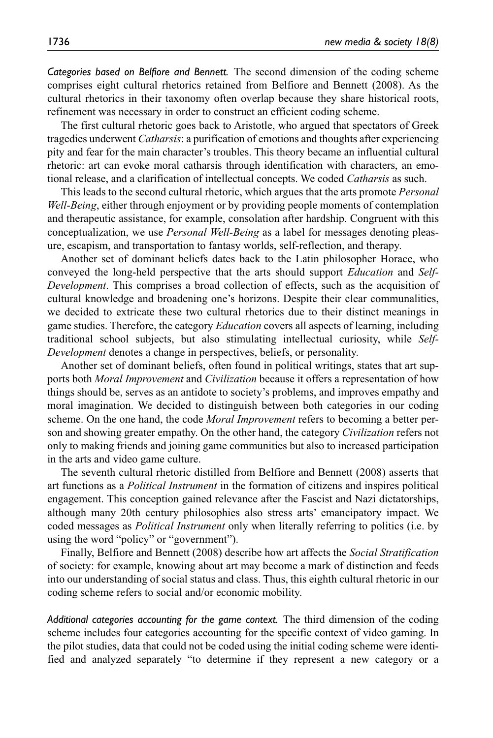*Categories based on Belfiore and Bennett.* The second dimension of the coding scheme comprises eight cultural rhetorics retained from Belfiore and Bennett (2008). As the cultural rhetorics in their taxonomy often overlap because they share historical roots, refinement was necessary in order to construct an efficient coding scheme.

The first cultural rhetoric goes back to Aristotle, who argued that spectators of Greek tragedies underwent *Catharsis*: a purification of emotions and thoughts after experiencing pity and fear for the main character's troubles. This theory became an influential cultural rhetoric: art can evoke moral catharsis through identification with characters, an emotional release, and a clarification of intellectual concepts. We coded *Catharsis* as such.

This leads to the second cultural rhetoric, which argues that the arts promote *Personal Well-Being*, either through enjoyment or by providing people moments of contemplation and therapeutic assistance, for example, consolation after hardship. Congruent with this conceptualization, we use *Personal Well-Being* as a label for messages denoting pleasure, escapism, and transportation to fantasy worlds, self-reflection, and therapy.

Another set of dominant beliefs dates back to the Latin philosopher Horace, who conveyed the long-held perspective that the arts should support *Education* and *Self-Development*. This comprises a broad collection of effects, such as the acquisition of cultural knowledge and broadening one's horizons. Despite their clear communalities, we decided to extricate these two cultural rhetorics due to their distinct meanings in game studies. Therefore, the category *Education* covers all aspects of learning, including traditional school subjects, but also stimulating intellectual curiosity, while *Self-Development* denotes a change in perspectives, beliefs, or personality.

Another set of dominant beliefs, often found in political writings, states that art supports both *Moral Improvement* and *Civilization* because it offers a representation of how things should be, serves as an antidote to society's problems, and improves empathy and moral imagination. We decided to distinguish between both categories in our coding scheme. On the one hand, the code *Moral Improvement* refers to becoming a better person and showing greater empathy. On the other hand, the category *Civilization* refers not only to making friends and joining game communities but also to increased participation in the arts and video game culture.

The seventh cultural rhetoric distilled from Belfiore and Bennett (2008) asserts that art functions as a *Political Instrument* in the formation of citizens and inspires political engagement. This conception gained relevance after the Fascist and Nazi dictatorships, although many 20th century philosophies also stress arts' emancipatory impact. We coded messages as *Political Instrument* only when literally referring to politics (i.e. by using the word "policy" or "government").

Finally, Belfiore and Bennett (2008) describe how art affects the *Social Stratification* of society: for example, knowing about art may become a mark of distinction and feeds into our understanding of social status and class. Thus, this eighth cultural rhetoric in our coding scheme refers to social and/or economic mobility.

*Additional categories accounting for the game context.* The third dimension of the coding scheme includes four categories accounting for the specific context of video gaming. In the pilot studies, data that could not be coded using the initial coding scheme were identified and analyzed separately "to determine if they represent a new category or a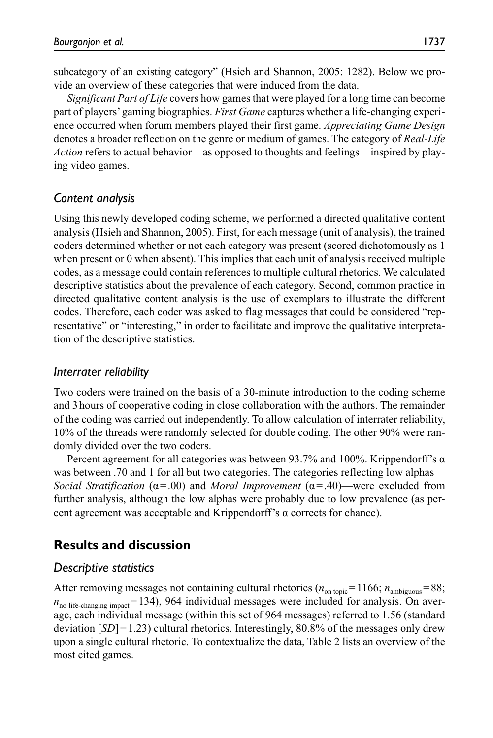subcategory of an existing category" (Hsieh and Shannon, 2005: 1282). Below we provide an overview of these categories that were induced from the data.

*Significant Part of Life* covers how games that were played for a long time can become part of players' gaming biographies. *First Game* captures whether a life-changing experience occurred when forum members played their first game. *Appreciating Game Design* denotes a broader reflection on the genre or medium of games. The category of *Real-Life Action* refers to actual behavior—as opposed to thoughts and feelings—inspired by playing video games.

# *Content analysis*

Using this newly developed coding scheme, we performed a directed qualitative content analysis (Hsieh and Shannon, 2005). First, for each message (unit of analysis), the trained coders determined whether or not each category was present (scored dichotomously as 1 when present or 0 when absent). This implies that each unit of analysis received multiple codes, as a message could contain references to multiple cultural rhetorics. We calculated descriptive statistics about the prevalence of each category. Second, common practice in directed qualitative content analysis is the use of exemplars to illustrate the different codes. Therefore, each coder was asked to flag messages that could be considered "representative" or "interesting," in order to facilitate and improve the qualitative interpretation of the descriptive statistics.

### *Interrater reliability*

Two coders were trained on the basis of a 30-minute introduction to the coding scheme and 3 hours of cooperative coding in close collaboration with the authors. The remainder of the coding was carried out independently. To allow calculation of interrater reliability, 10% of the threads were randomly selected for double coding. The other 90% were randomly divided over the two coders.

Percent agreement for all categories was between 93.7% and 100%. Krippendorff's  $\alpha$ was between .70 and 1 for all but two categories. The categories reflecting low alphas— *Social Stratification* (α=.00) and *Moral Improvement* (α=.40)—were excluded from further analysis, although the low alphas were probably due to low prevalence (as percent agreement was acceptable and Krippendorff's α corrects for chance).

# **Results and discussion**

### *Descriptive statistics*

After removing messages not containing cultural rhetorics  $(n_{\text{on topic}}=1166; n_{\text{ambiguous}}=88;$  $n_{\text{no life-changing impact}}$ =134), 964 individual messages were included for analysis. On average, each individual message (within this set of 964 messages) referred to 1.56 (standard deviation [*SD*]=1.23) cultural rhetorics. Interestingly, 80.8% of the messages only drew upon a single cultural rhetoric. To contextualize the data, Table 2 lists an overview of the most cited games.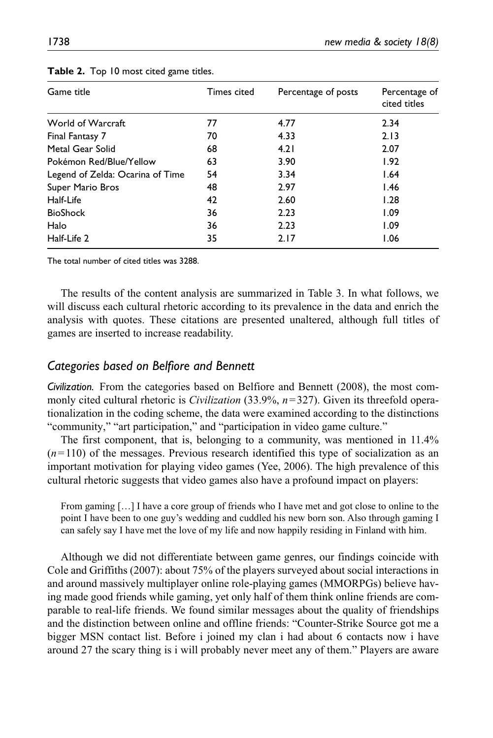| Game title                       | Times cited | Percentage of posts | Percentage of<br>cited titles |  |
|----------------------------------|-------------|---------------------|-------------------------------|--|
| World of Warcraft                | 77          | 4.77                | 2.34                          |  |
| Final Fantasy 7                  | 70          | 4.33                | 2.13                          |  |
| Metal Gear Solid                 | 68          | 4.21                | 2.07                          |  |
| Pokémon Red/Blue/Yellow          | 63          | 3.90                | 1.92                          |  |
| Legend of Zelda: Ocarina of Time | 54          | 3.34                | 1.64                          |  |
| Super Mario Bros                 | 48          | 2.97                | 1.46                          |  |
| Half-Life                        | 42          | 2.60                | 1.28                          |  |
| <b>BioShock</b>                  | 36          | 2.23                | 1.09                          |  |
| Halo                             | 36          | 2.23                | 1.09                          |  |
| Half-Life 2                      | 35          | 2.17                | 1.06                          |  |

| Table 2. Top 10 most cited game titles. |  |  |  |  |  |
|-----------------------------------------|--|--|--|--|--|
|-----------------------------------------|--|--|--|--|--|

The total number of cited titles was 3288.

The results of the content analysis are summarized in Table 3. In what follows, we will discuss each cultural rhetoric according to its prevalence in the data and enrich the analysis with quotes. These citations are presented unaltered, although full titles of games are inserted to increase readability.

#### *Categories based on Belfiore and Bennett*

*Civilization.* From the categories based on Belfiore and Bennett (2008), the most commonly cited cultural rhetoric is *Civilization* (33.9%,  $n=327$ ). Given its threefold operationalization in the coding scheme, the data were examined according to the distinctions "community," "art participation," and "participation in video game culture."

The first component, that is, belonging to a community, was mentioned in 11.4%  $(n=110)$  of the messages. Previous research identified this type of socialization as an important motivation for playing video games (Yee, 2006). The high prevalence of this cultural rhetoric suggests that video games also have a profound impact on players:

From gaming […] I have a core group of friends who I have met and got close to online to the point I have been to one guy's wedding and cuddled his new born son. Also through gaming I can safely say I have met the love of my life and now happily residing in Finland with him.

Although we did not differentiate between game genres, our findings coincide with Cole and Griffiths (2007): about 75% of the players surveyed about social interactions in and around massively multiplayer online role-playing games (MMORPGs) believe having made good friends while gaming, yet only half of them think online friends are comparable to real-life friends. We found similar messages about the quality of friendships and the distinction between online and offline friends: "Counter-Strike Source got me a bigger MSN contact list. Before i joined my clan i had about 6 contacts now i have around 27 the scary thing is i will probably never meet any of them." Players are aware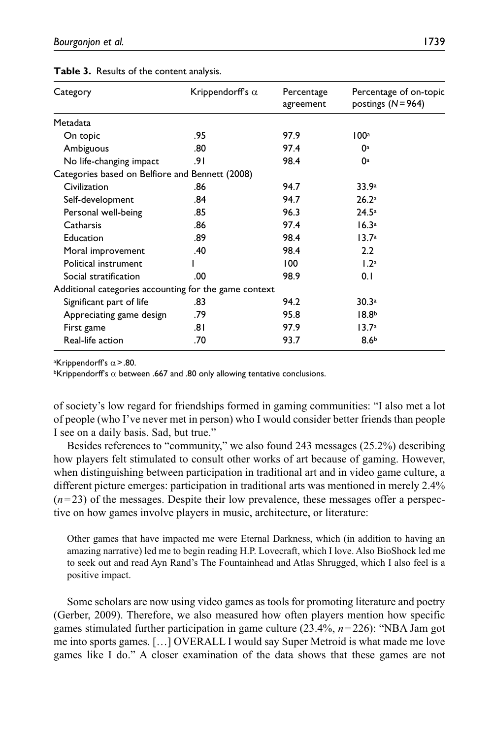| Category                                              | Krippendorff's $\alpha$ | Percentage | Percentage of on-topic<br>postings $(N=964)$ |  |
|-------------------------------------------------------|-------------------------|------------|----------------------------------------------|--|
|                                                       |                         | agreement  |                                              |  |
| Metadata                                              |                         |            |                                              |  |
| On topic                                              | .95                     | 97.9       | 100 <sup>a</sup>                             |  |
| Ambiguous                                             | .80                     | 97.4       | 0a                                           |  |
| No life-changing impact                               | 9۱.                     | 98.4       | $0^a$                                        |  |
| Categories based on Belfiore and Bennett (2008)       |                         |            |                                              |  |
| Civilization                                          | .86                     | 94.7       | 33.9 <sup>a</sup>                            |  |
| Self-development                                      | .84                     | 94.7       | 26.2 <sup>a</sup>                            |  |
| Personal well-being                                   | .85                     | 96.3       | 24.5a                                        |  |
| Catharsis                                             | .86                     | 97.4       | 16.3 <sup>a</sup>                            |  |
| Education                                             | .89                     | 98.4       | 13.7 <sup>a</sup>                            |  |
| Moral improvement                                     | .40                     | 98.4       | 2.2                                          |  |
| Political instrument                                  |                         | 100        | 1.2 <sup>a</sup>                             |  |
| Social stratification                                 | .00                     | 98.9       | 0.1                                          |  |
| Additional categories accounting for the game context |                         |            |                                              |  |
| Significant part of life                              | .83                     | 94.2       | 30.3a                                        |  |
| Appreciating game design                              | .79                     | 95.8       | 18.8 <sup>b</sup>                            |  |
| First game                                            | ا 8.                    | 97.9       | 13.7 <sup>a</sup>                            |  |
| Real-life action                                      | .70                     | 93.7       | 8.6 <sup>b</sup>                             |  |

**Table 3.** Results of the content analysis.

 $^{\rm a}$ Krippendorff's  $\alpha$  > .80.

bKrippendorff's  $\alpha$  between .667 and .80 only allowing tentative conclusions.

of society's low regard for friendships formed in gaming communities: "I also met a lot of people (who I've never met in person) who I would consider better friends than people I see on a daily basis. Sad, but true."

Besides references to "community," we also found 243 messages (25.2%) describing how players felt stimulated to consult other works of art because of gaming. However, when distinguishing between participation in traditional art and in video game culture, a different picture emerges: participation in traditional arts was mentioned in merely 2.4%  $(n=23)$  of the messages. Despite their low prevalence, these messages offer a perspective on how games involve players in music, architecture, or literature:

Other games that have impacted me were Eternal Darkness, which (in addition to having an amazing narrative) led me to begin reading H.P. Lovecraft, which I love. Also BioShock led me to seek out and read Ayn Rand's The Fountainhead and Atlas Shrugged, which I also feel is a positive impact.

Some scholars are now using video games as tools for promoting literature and poetry (Gerber, 2009). Therefore, we also measured how often players mention how specific games stimulated further participation in game culture (23.4%, *n*=226): "NBA Jam got me into sports games. […] OVERALL I would say Super Metroid is what made me love games like I do." A closer examination of the data shows that these games are not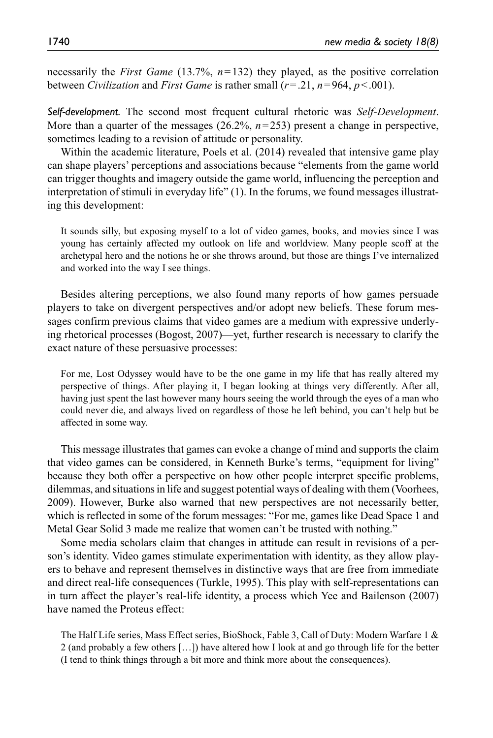necessarily the *First Game* (13.7%, *n*=132) they played, as the positive correlation between *Civilization* and *First Game* is rather small (*r*=.21, *n*=964, *p*<.001).

*Self-development.* The second most frequent cultural rhetoric was *Self-Development*. More than a quarter of the messages  $(26.2\%, n=253)$  present a change in perspective, sometimes leading to a revision of attitude or personality.

Within the academic literature, Poels et al. (2014) revealed that intensive game play can shape players' perceptions and associations because "elements from the game world can trigger thoughts and imagery outside the game world, influencing the perception and interpretation of stimuli in everyday life" (1). In the forums, we found messages illustrating this development:

It sounds silly, but exposing myself to a lot of video games, books, and movies since I was young has certainly affected my outlook on life and worldview. Many people scoff at the archetypal hero and the notions he or she throws around, but those are things I've internalized and worked into the way I see things.

Besides altering perceptions, we also found many reports of how games persuade players to take on divergent perspectives and/or adopt new beliefs. These forum messages confirm previous claims that video games are a medium with expressive underlying rhetorical processes (Bogost, 2007)—yet, further research is necessary to clarify the exact nature of these persuasive processes:

For me, Lost Odyssey would have to be the one game in my life that has really altered my perspective of things. After playing it, I began looking at things very differently. After all, having just spent the last however many hours seeing the world through the eyes of a man who could never die, and always lived on regardless of those he left behind, you can't help but be affected in some way.

This message illustrates that games can evoke a change of mind and supports the claim that video games can be considered, in Kenneth Burke's terms, "equipment for living" because they both offer a perspective on how other people interpret specific problems, dilemmas, and situations in life and suggest potential ways of dealing with them (Voorhees, 2009). However, Burke also warned that new perspectives are not necessarily better, which is reflected in some of the forum messages: "For me, games like Dead Space 1 and Metal Gear Solid 3 made me realize that women can't be trusted with nothing."

Some media scholars claim that changes in attitude can result in revisions of a person's identity. Video games stimulate experimentation with identity, as they allow players to behave and represent themselves in distinctive ways that are free from immediate and direct real-life consequences (Turkle, 1995). This play with self-representations can in turn affect the player's real-life identity, a process which Yee and Bailenson (2007) have named the Proteus effect:

The Half Life series, Mass Effect series, BioShock, Fable 3, Call of Duty: Modern Warfare 1 & 2 (and probably a few others […]) have altered how I look at and go through life for the better (I tend to think things through a bit more and think more about the consequences).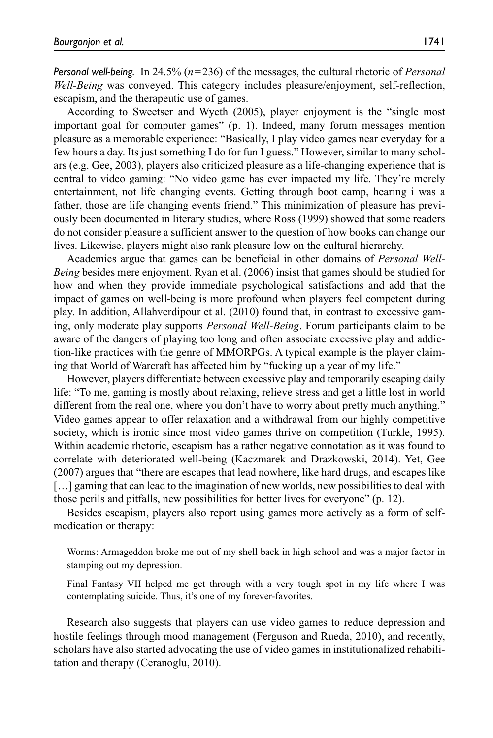*Personal well-being.* In 24.5% (*n*=236) of the messages, the cultural rhetoric of *Personal Well-Being* was conveyed. This category includes pleasure/enjoyment, self-reflection, escapism, and the therapeutic use of games.

According to Sweetser and Wyeth (2005), player enjoyment is the "single most important goal for computer games" (p. 1). Indeed, many forum messages mention pleasure as a memorable experience: "Basically, I play video games near everyday for a few hours a day. Its just something I do for fun I guess." However, similar to many scholars (e.g. Gee, 2003), players also criticized pleasure as a life-changing experience that is central to video gaming: "No video game has ever impacted my life. They're merely entertainment, not life changing events. Getting through boot camp, hearing i was a father, those are life changing events friend." This minimization of pleasure has previously been documented in literary studies, where Ross (1999) showed that some readers do not consider pleasure a sufficient answer to the question of how books can change our lives. Likewise, players might also rank pleasure low on the cultural hierarchy.

Academics argue that games can be beneficial in other domains of *Personal Well-Being* besides mere enjoyment. Ryan et al. (2006) insist that games should be studied for how and when they provide immediate psychological satisfactions and add that the impact of games on well-being is more profound when players feel competent during play. In addition, Allahverdipour et al. (2010) found that, in contrast to excessive gaming, only moderate play supports *Personal Well-Being*. Forum participants claim to be aware of the dangers of playing too long and often associate excessive play and addiction-like practices with the genre of MMORPGs. A typical example is the player claiming that World of Warcraft has affected him by "fucking up a year of my life."

However, players differentiate between excessive play and temporarily escaping daily life: "To me, gaming is mostly about relaxing, relieve stress and get a little lost in world different from the real one, where you don't have to worry about pretty much anything." Video games appear to offer relaxation and a withdrawal from our highly competitive society, which is ironic since most video games thrive on competition (Turkle, 1995). Within academic rhetoric, escapism has a rather negative connotation as it was found to correlate with deteriorated well-being (Kaczmarek and Drazkowski, 2014). Yet, Gee (2007) argues that "there are escapes that lead nowhere, like hard drugs, and escapes like [...] gaming that can lead to the imagination of new worlds, new possibilities to deal with those perils and pitfalls, new possibilities for better lives for everyone" (p. 12).

Besides escapism, players also report using games more actively as a form of selfmedication or therapy:

Worms: Armageddon broke me out of my shell back in high school and was a major factor in stamping out my depression.

Final Fantasy VII helped me get through with a very tough spot in my life where I was contemplating suicide. Thus, it's one of my forever-favorites.

Research also suggests that players can use video games to reduce depression and hostile feelings through mood management (Ferguson and Rueda, 2010), and recently, scholars have also started advocating the use of video games in institutionalized rehabilitation and therapy (Ceranoglu, 2010).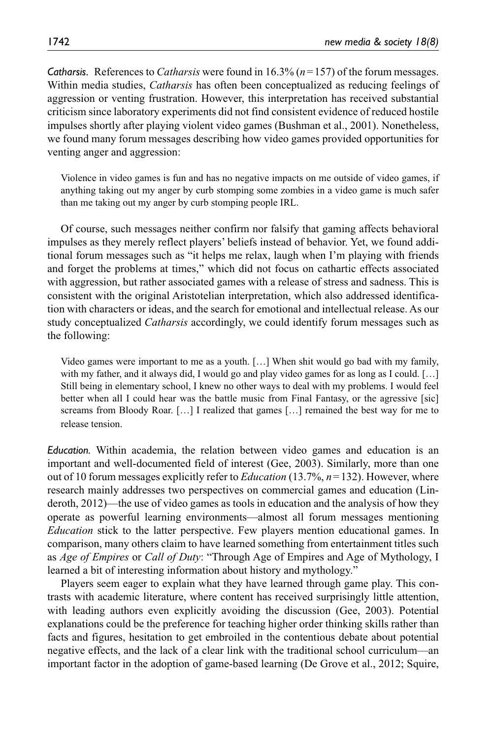*Catharsis.* References to *Catharsis* were found in 16.3% (*n*=157) of the forum messages. Within media studies, *Catharsis* has often been conceptualized as reducing feelings of aggression or venting frustration. However, this interpretation has received substantial criticism since laboratory experiments did not find consistent evidence of reduced hostile impulses shortly after playing violent video games (Bushman et al., 2001). Nonetheless, we found many forum messages describing how video games provided opportunities for venting anger and aggression:

Violence in video games is fun and has no negative impacts on me outside of video games, if anything taking out my anger by curb stomping some zombies in a video game is much safer than me taking out my anger by curb stomping people IRL.

Of course, such messages neither confirm nor falsify that gaming affects behavioral impulses as they merely reflect players' beliefs instead of behavior. Yet, we found additional forum messages such as "it helps me relax, laugh when I'm playing with friends and forget the problems at times," which did not focus on cathartic effects associated with aggression, but rather associated games with a release of stress and sadness. This is consistent with the original Aristotelian interpretation, which also addressed identification with characters or ideas, and the search for emotional and intellectual release. As our study conceptualized *Catharsis* accordingly, we could identify forum messages such as the following:

Video games were important to me as a youth. […] When shit would go bad with my family, with my father, and it always did, I would go and play video games for as long as I could. [...] Still being in elementary school, I knew no other ways to deal with my problems. I would feel better when all I could hear was the battle music from Final Fantasy, or the agressive [sic] screams from Bloody Roar.  $[\dots]$  I realized that games  $[\dots]$  remained the best way for me to release tension.

*Education.* Within academia, the relation between video games and education is an important and well-documented field of interest (Gee, 2003). Similarly, more than one out of 10 forum messages explicitly refer to *Education* (13.7%, *n*=132). However, where research mainly addresses two perspectives on commercial games and education (Linderoth, 2012)—the use of video games as tools in education and the analysis of how they operate as powerful learning environments—almost all forum messages mentioning *Education* stick to the latter perspective. Few players mention educational games. In comparison, many others claim to have learned something from entertainment titles such as *Age of Empires* or *Call of Duty*: "Through Age of Empires and Age of Mythology, I learned a bit of interesting information about history and mythology."

Players seem eager to explain what they have learned through game play. This contrasts with academic literature, where content has received surprisingly little attention, with leading authors even explicitly avoiding the discussion (Gee, 2003). Potential explanations could be the preference for teaching higher order thinking skills rather than facts and figures, hesitation to get embroiled in the contentious debate about potential negative effects, and the lack of a clear link with the traditional school curriculum—an important factor in the adoption of game-based learning (De Grove et al., 2012; Squire,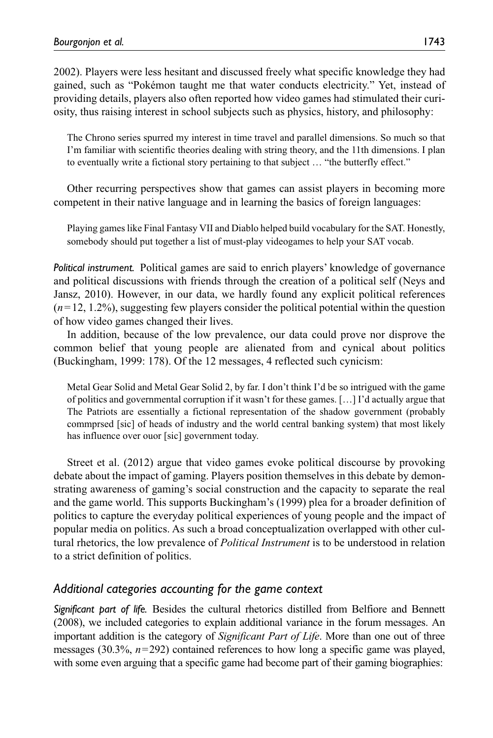2002). Players were less hesitant and discussed freely what specific knowledge they had gained, such as "Pokémon taught me that water conducts electricity." Yet, instead of providing details, players also often reported how video games had stimulated their curiosity, thus raising interest in school subjects such as physics, history, and philosophy:

The Chrono series spurred my interest in time travel and parallel dimensions. So much so that I'm familiar with scientific theories dealing with string theory, and the 11th dimensions. I plan to eventually write a fictional story pertaining to that subject … "the butterfly effect."

Other recurring perspectives show that games can assist players in becoming more competent in their native language and in learning the basics of foreign languages:

Playing games like Final Fantasy VII and Diablo helped build vocabulary for the SAT. Honestly, somebody should put together a list of must-play videogames to help your SAT vocab.

*Political instrument.* Political games are said to enrich players' knowledge of governance and political discussions with friends through the creation of a political self (Neys and Jansz, 2010). However, in our data, we hardly found any explicit political references  $(n=12, 1.2\%)$ , suggesting few players consider the political potential within the question of how video games changed their lives.

In addition, because of the low prevalence, our data could prove nor disprove the common belief that young people are alienated from and cynical about politics (Buckingham, 1999: 178). Of the 12 messages, 4 reflected such cynicism:

Metal Gear Solid and Metal Gear Solid 2, by far. I don't think I'd be so intrigued with the game of politics and governmental corruption if it wasn't for these games. […] I'd actually argue that The Patriots are essentially a fictional representation of the shadow government (probably commprsed [sic] of heads of industry and the world central banking system) that most likely has influence over ouor [sic] government today.

Street et al. (2012) argue that video games evoke political discourse by provoking debate about the impact of gaming. Players position themselves in this debate by demonstrating awareness of gaming's social construction and the capacity to separate the real and the game world. This supports Buckingham's (1999) plea for a broader definition of politics to capture the everyday political experiences of young people and the impact of popular media on politics. As such a broad conceptualization overlapped with other cultural rhetorics, the low prevalence of *Political Instrument* is to be understood in relation to a strict definition of politics.

### *Additional categories accounting for the game context*

*Significant part of life.* Besides the cultural rhetorics distilled from Belfiore and Bennett (2008), we included categories to explain additional variance in the forum messages. An important addition is the category of *Significant Part of Life*. More than one out of three messages (30.3%, *n*=292) contained references to how long a specific game was played, with some even arguing that a specific game had become part of their gaming biographies: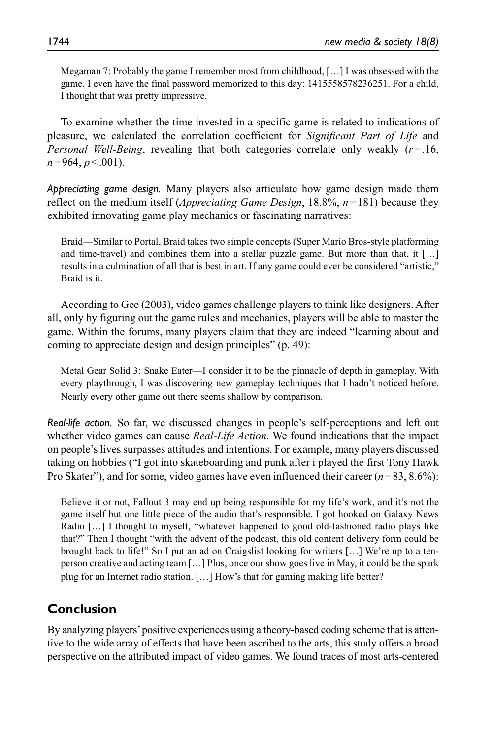Megaman 7: Probably the game I remember most from childhood, […] I was obsessed with the game, I even have the final password memorized to this day: 1415558578236251. For a child, I thought that was pretty impressive.

To examine whether the time invested in a specific game is related to indications of pleasure, we calculated the correlation coefficient for *Significant Part of Life* and *Personal Well-Being*, revealing that both categories correlate only weakly (*r*=.16, *n*=964, *p*<.001).

*Appreciating game design.* Many players also articulate how game design made them reflect on the medium itself (*Appreciating Game Design*, 18.8%, *n*=181) because they exhibited innovating game play mechanics or fascinating narratives:

Braid—Similar to Portal, Braid takes two simple concepts (Super Mario Bros-style platforming and time-travel) and combines them into a stellar puzzle game. But more than that, it […] results in a culmination of all that is best in art. If any game could ever be considered "artistic," Braid is it.

According to Gee (2003), video games challenge players to think like designers. After all, only by figuring out the game rules and mechanics, players will be able to master the game. Within the forums, many players claim that they are indeed "learning about and coming to appreciate design and design principles" (p. 49):

Metal Gear Solid 3: Snake Eater—I consider it to be the pinnacle of depth in gameplay. With every playthrough, I was discovering new gameplay techniques that I hadn't noticed before. Nearly every other game out there seems shallow by comparison.

*Real-life action.* So far, we discussed changes in people's self-perceptions and left out whether video games can cause *Real-Life Action*. We found indications that the impact on people's lives surpasses attitudes and intentions. For example, many players discussed taking on hobbies ("I got into skateboarding and punk after i played the first Tony Hawk Pro Skater"), and for some, video games have even influenced their career  $(n=83, 8.6\%)$ :

Believe it or not, Fallout 3 may end up being responsible for my life's work, and it's not the game itself but one little piece of the audio that's responsible. I got hooked on Galaxy News Radio […] I thought to myself, "whatever happened to good old-fashioned radio plays like that?" Then I thought "with the advent of the podcast, this old content delivery form could be brought back to life!" So I put an ad on Craigslist looking for writers […] We're up to a tenperson creative and acting team […] Plus, once our show goes live in May, it could be the spark plug for an Internet radio station. […] How's that for gaming making life better?

# **Conclusion**

By analyzing players' positive experiences using a theory-based coding scheme that is attentive to the wide array of effects that have been ascribed to the arts, this study offers a broad perspective on the attributed impact of video games. We found traces of most arts-centered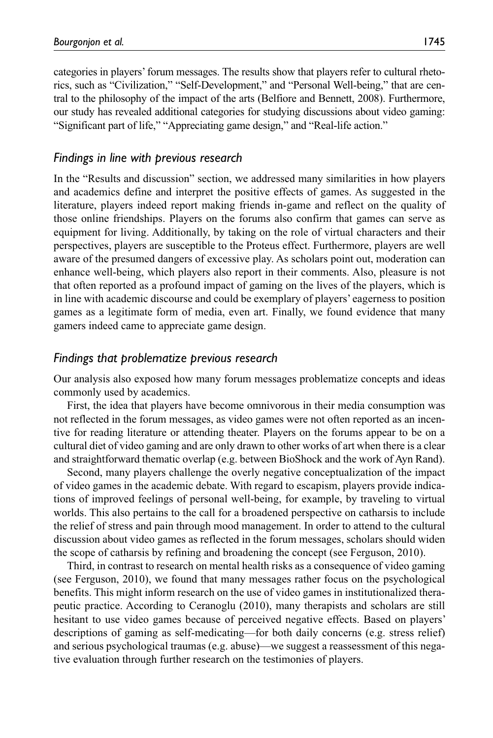categories in players' forum messages. The results show that players refer to cultural rhetorics, such as "Civilization," "Self-Development," and "Personal Well-being," that are central to the philosophy of the impact of the arts (Belfiore and Bennett, 2008). Furthermore, our study has revealed additional categories for studying discussions about video gaming: "Significant part of life," "Appreciating game design," and "Real-life action."

## *Findings in line with previous research*

In the "Results and discussion" section, we addressed many similarities in how players and academics define and interpret the positive effects of games. As suggested in the literature, players indeed report making friends in-game and reflect on the quality of those online friendships. Players on the forums also confirm that games can serve as equipment for living. Additionally, by taking on the role of virtual characters and their perspectives, players are susceptible to the Proteus effect. Furthermore, players are well aware of the presumed dangers of excessive play. As scholars point out, moderation can enhance well-being, which players also report in their comments. Also, pleasure is not that often reported as a profound impact of gaming on the lives of the players, which is in line with academic discourse and could be exemplary of players' eagerness to position games as a legitimate form of media, even art. Finally, we found evidence that many gamers indeed came to appreciate game design.

# *Findings that problematize previous research*

Our analysis also exposed how many forum messages problematize concepts and ideas commonly used by academics.

First, the idea that players have become omnivorous in their media consumption was not reflected in the forum messages, as video games were not often reported as an incentive for reading literature or attending theater. Players on the forums appear to be on a cultural diet of video gaming and are only drawn to other works of art when there is a clear and straightforward thematic overlap (e.g. between BioShock and the work of Ayn Rand).

Second, many players challenge the overly negative conceptualization of the impact of video games in the academic debate. With regard to escapism, players provide indications of improved feelings of personal well-being, for example, by traveling to virtual worlds. This also pertains to the call for a broadened perspective on catharsis to include the relief of stress and pain through mood management. In order to attend to the cultural discussion about video games as reflected in the forum messages, scholars should widen the scope of catharsis by refining and broadening the concept (see Ferguson, 2010).

Third, in contrast to research on mental health risks as a consequence of video gaming (see Ferguson, 2010), we found that many messages rather focus on the psychological benefits. This might inform research on the use of video games in institutionalized therapeutic practice. According to Ceranoglu (2010), many therapists and scholars are still hesitant to use video games because of perceived negative effects. Based on players' descriptions of gaming as self-medicating—for both daily concerns (e.g. stress relief) and serious psychological traumas (e.g. abuse)—we suggest a reassessment of this negative evaluation through further research on the testimonies of players.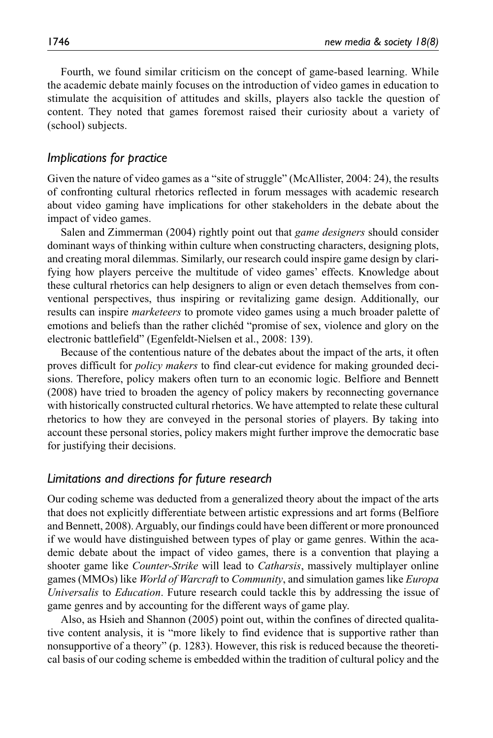Fourth, we found similar criticism on the concept of game-based learning. While the academic debate mainly focuses on the introduction of video games in education to stimulate the acquisition of attitudes and skills, players also tackle the question of content. They noted that games foremost raised their curiosity about a variety of (school) subjects.

### *Implications for practice*

Given the nature of video games as a "site of struggle" (McAllister, 2004: 24), the results of confronting cultural rhetorics reflected in forum messages with academic research about video gaming have implications for other stakeholders in the debate about the impact of video games.

Salen and Zimmerman (2004) rightly point out that *game designers* should consider dominant ways of thinking within culture when constructing characters, designing plots, and creating moral dilemmas. Similarly, our research could inspire game design by clarifying how players perceive the multitude of video games' effects. Knowledge about these cultural rhetorics can help designers to align or even detach themselves from conventional perspectives, thus inspiring or revitalizing game design. Additionally, our results can inspire *marketeers* to promote video games using a much broader palette of emotions and beliefs than the rather clichéd "promise of sex, violence and glory on the electronic battlefield" (Egenfeldt-Nielsen et al., 2008: 139).

Because of the contentious nature of the debates about the impact of the arts, it often proves difficult for *policy makers* to find clear-cut evidence for making grounded decisions. Therefore, policy makers often turn to an economic logic. Belfiore and Bennett (2008) have tried to broaden the agency of policy makers by reconnecting governance with historically constructed cultural rhetorics. We have attempted to relate these cultural rhetorics to how they are conveyed in the personal stories of players. By taking into account these personal stories, policy makers might further improve the democratic base for justifying their decisions.

#### *Limitations and directions for future research*

Our coding scheme was deducted from a generalized theory about the impact of the arts that does not explicitly differentiate between artistic expressions and art forms (Belfiore and Bennett, 2008). Arguably, our findings could have been different or more pronounced if we would have distinguished between types of play or game genres. Within the academic debate about the impact of video games, there is a convention that playing a shooter game like *Counter-Strike* will lead to *Catharsis*, massively multiplayer online games (MMOs) like *World of Warcraft* to *Community*, and simulation games like *Europa Universalis* to *Education*. Future research could tackle this by addressing the issue of game genres and by accounting for the different ways of game play.

Also, as Hsieh and Shannon (2005) point out, within the confines of directed qualitative content analysis, it is "more likely to find evidence that is supportive rather than nonsupportive of a theory" (p. 1283). However, this risk is reduced because the theoretical basis of our coding scheme is embedded within the tradition of cultural policy and the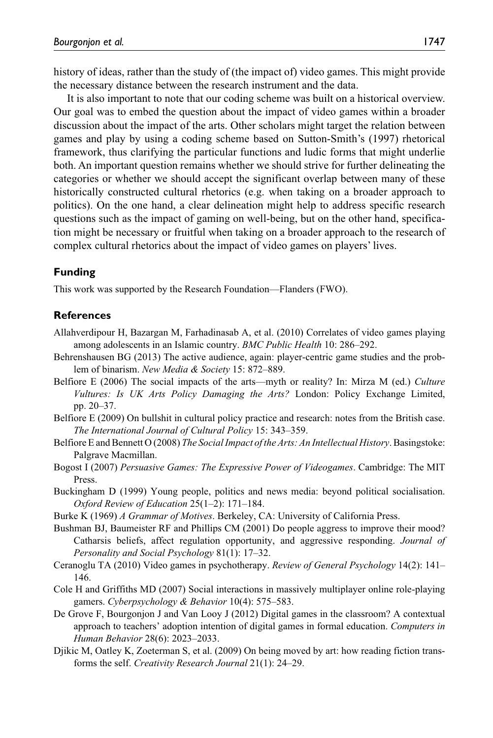history of ideas, rather than the study of (the impact of) video games. This might provide the necessary distance between the research instrument and the data.

It is also important to note that our coding scheme was built on a historical overview. Our goal was to embed the question about the impact of video games within a broader discussion about the impact of the arts. Other scholars might target the relation between games and play by using a coding scheme based on Sutton-Smith's (1997) rhetorical framework, thus clarifying the particular functions and ludic forms that might underlie both. An important question remains whether we should strive for further delineating the categories or whether we should accept the significant overlap between many of these historically constructed cultural rhetorics (e.g. when taking on a broader approach to politics). On the one hand, a clear delineation might help to address specific research questions such as the impact of gaming on well-being, but on the other hand, specification might be necessary or fruitful when taking on a broader approach to the research of complex cultural rhetorics about the impact of video games on players' lives.

### **Funding**

This work was supported by the Research Foundation—Flanders (FWO).

### **References**

- Allahverdipour H, Bazargan M, Farhadinasab A, et al. (2010) Correlates of video games playing among adolescents in an Islamic country. *BMC Public Health* 10: 286–292.
- Behrenshausen BG (2013) The active audience, again: player-centric game studies and the problem of binarism. *New Media & Society* 15: 872–889.
- Belfiore E (2006) The social impacts of the arts—myth or reality? In: Mirza M (ed.) *Culture Vultures: Is UK Arts Policy Damaging the Arts?* London: Policy Exchange Limited, pp. 20–37.
- Belfiore E (2009) On bullshit in cultural policy practice and research: notes from the British case. *The International Journal of Cultural Policy* 15: 343–359.
- Belfiore E and Bennett O (2008) *The Social Impact of the Arts: An Intellectual History*. Basingstoke: Palgrave Macmillan.
- Bogost I (2007) *Persuasive Games: The Expressive Power of Videogames*. Cambridge: The MIT Press.
- Buckingham D (1999) Young people, politics and news media: beyond political socialisation. *Oxford Review of Education* 25(1–2): 171–184.
- Burke K (1969) *A Grammar of Motives*. Berkeley, CA: University of California Press.
- Bushman BJ, Baumeister RF and Phillips CM (2001) Do people aggress to improve their mood? Catharsis beliefs, affect regulation opportunity, and aggressive responding. *Journal of Personality and Social Psychology* 81(1): 17–32.
- Ceranoglu TA (2010) Video games in psychotherapy. *Review of General Psychology* 14(2): 141– 146.
- Cole H and Griffiths MD (2007) Social interactions in massively multiplayer online role-playing gamers. *Cyberpsychology & Behavior* 10(4): 575–583.
- De Grove F, Bourgonjon J and Van Looy J (2012) Digital games in the classroom? A contextual approach to teachers' adoption intention of digital games in formal education. *Computers in Human Behavior* 28(6): 2023–2033.
- Djikic M, Oatley K, Zoeterman S, et al. (2009) On being moved by art: how reading fiction transforms the self. *Creativity Research Journal* 21(1): 24–29.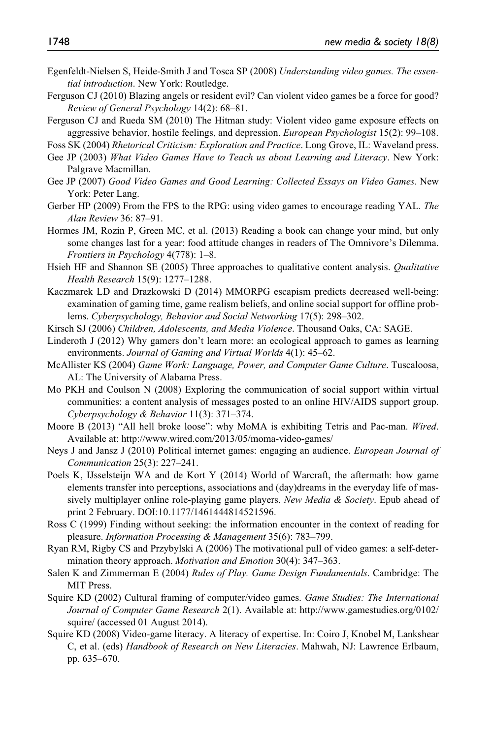- Egenfeldt-Nielsen S, Heide-Smith J and Tosca SP (2008) *Understanding video games. The essential introduction*. New York: Routledge.
- Ferguson CJ (2010) Blazing angels or resident evil? Can violent video games be a force for good? *Review of General Psychology* 14(2): 68–81.
- Ferguson CJ and Rueda SM (2010) The Hitman study: Violent video game exposure effects on aggressive behavior, hostile feelings, and depression. *European Psychologist* 15(2): 99–108.

Foss SK (2004) *Rhetorical Criticism: Exploration and Practice*. Long Grove, IL: Waveland press.

- Gee JP (2003) *What Video Games Have to Teach us about Learning and Literacy*. New York: Palgrave Macmillan.
- Gee JP (2007) *Good Video Games and Good Learning: Collected Essays on Video Games*. New York: Peter Lang.
- Gerber HP (2009) From the FPS to the RPG: using video games to encourage reading YAL. *The Alan Review* 36: 87–91.
- Hormes JM, Rozin P, Green MC, et al. (2013) Reading a book can change your mind, but only some changes last for a year: food attitude changes in readers of The Omnivore's Dilemma. *Frontiers in Psychology* 4(778): 1–8.
- Hsieh HF and Shannon SE (2005) Three approaches to qualitative content analysis. *Qualitative Health Research* 15(9): 1277–1288.
- Kaczmarek LD and Drazkowski D (2014) MMORPG escapism predicts decreased well-being: examination of gaming time, game realism beliefs, and online social support for offline problems. *Cyberpsychology, Behavior and Social Networking* 17(5): 298–302.
- Kirsch SJ (2006) *Children, Adolescents, and Media Violence*. Thousand Oaks, CA: SAGE.
- Linderoth J (2012) Why gamers don't learn more: an ecological approach to games as learning environments. *Journal of Gaming and Virtual Worlds* 4(1): 45–62.
- McAllister KS (2004) *Game Work: Language, Power, and Computer Game Culture*. Tuscaloosa, AL: The University of Alabama Press.
- Mo PKH and Coulson N (2008) Exploring the communication of social support within virtual communities: a content analysis of messages posted to an online HIV/AIDS support group. *Cyberpsychology & Behavior* 11(3): 371–374.
- Moore B (2013) "All hell broke loose": why MoMA is exhibiting Tetris and Pac-man. *Wired*. Available at:<http://www.wired.com/2013/05/moma-video-games/>
- Neys J and Jansz J (2010) Political internet games: engaging an audience. *European Journal of Communication* 25(3): 227–241.
- Poels K, IJsselsteijn WA and de Kort Y (2014) World of Warcraft, the aftermath: how game elements transfer into perceptions, associations and (day)dreams in the everyday life of massively multiplayer online role-playing game players. *New Media & Society*. Epub ahead of print 2 February. DOI:10.1177/1461444814521596.
- Ross C (1999) Finding without seeking: the information encounter in the context of reading for pleasure. *Information Processing & Management* 35(6): 783–799.
- Ryan RM, Rigby CS and Przybylski A (2006) The motivational pull of video games: a self-determination theory approach. *Motivation and Emotion* 30(4): 347–363.
- Salen K and Zimmerman E (2004) *Rules of Play. Game Design Fundamentals*. Cambridge: The MIT Press.
- Squire KD (2002) Cultural framing of computer/video games. *Game Studies: The International Journal of Computer Game Research* 2(1). Available at: [http://www.gamestudies.org/0102/](http://www.gamestudies.org/0102/squire/) [squire/](http://www.gamestudies.org/0102/squire/) (accessed 01 August 2014).
- Squire KD (2008) Video-game literacy. A literacy of expertise. In: Coiro J, Knobel M, Lankshear C, et al. (eds) *Handbook of Research on New Literacies*. Mahwah, NJ: Lawrence Erlbaum, pp. 635–670.